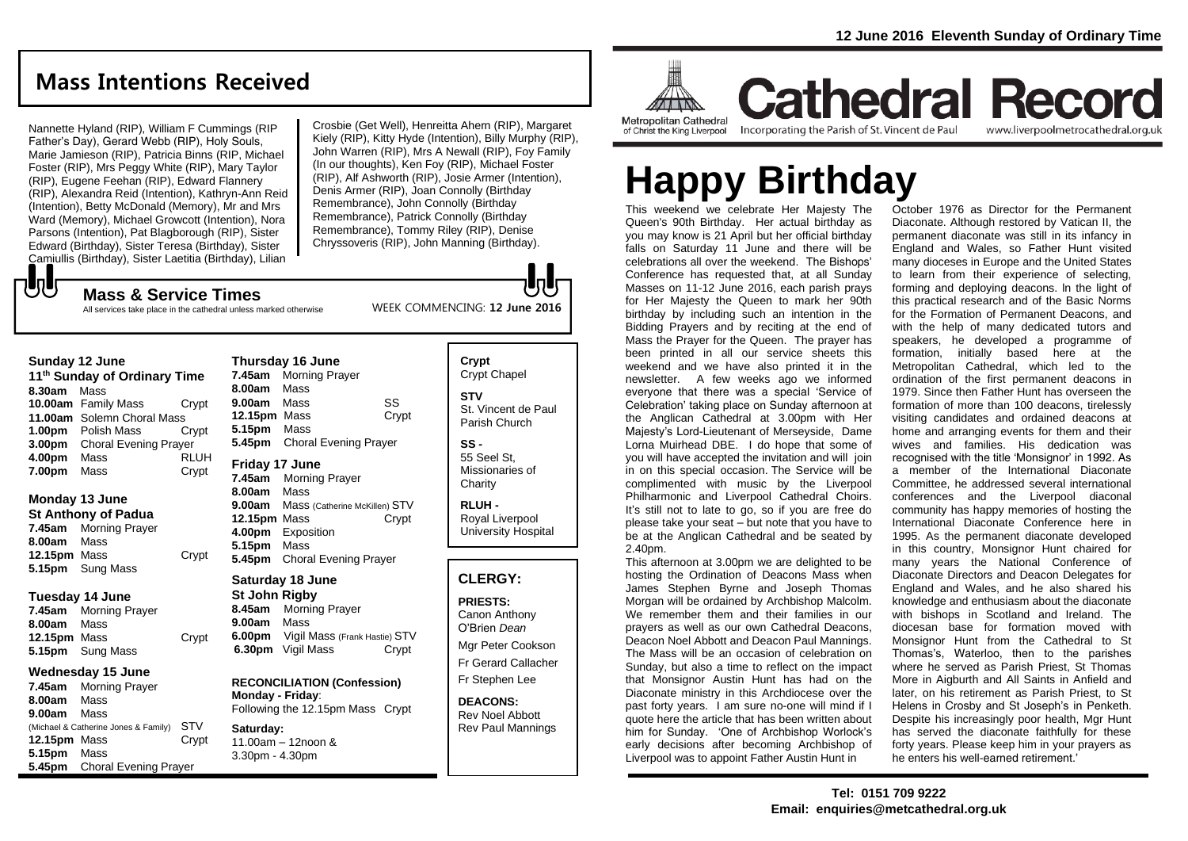## **Mass Intentions Received**

Nannette Hyland (RIP), William F Cummings (RIP Father's Day), Gerard Webb (RIP), Holy Souls, Marie Jamieson (RIP), Patricia Binns (RIP, Michael Foster (RIP), Mrs Peggy White (RIP), Mary Taylor (RIP), Eugene Feehan (RIP), Edward Flannery (RIP), Alexandra Reid (Intention), Kathryn-Ann Reid (Intention), Betty McDonald (Memory), Mr and Mrs Ward (Memory), Michael Growcott (Intention), Nora Parsons (Intention), Pat Blagborough (RIP), Sister Edward (Birthday), Sister Teresa (Birthday), Sister Camiullis (Birthday), Sister Laetitia (Birthday), Lilian

**Mass & Service Times**

Crosbie (Get Well), Henreitta Ahern (RIP), Margaret Kiely (RIP), Kitty Hyde (Intention), Billy Murphy (RIP), John Warren (RIP), Mrs A Newall (RIP), Foy Family (In our thoughts), Ken Foy (RIP), Michael Foster (RIP), Alf Ashworth (RIP), Josie Armer (Intention), Denis Armer (RIP), Joan Connolly (Birthday Remembrance), John Connolly (Birthday Remembrance), Patrick Connolly (Birthday Remembrance), Tommy Riley (RIP), Denise Chryssoveris (RIP), John Manning (Birthday).

WEEK COMMENCING: **12 June 2016**

All services take place in the cathedral unless marked otherwise

#### **Sunday 12 June**

もし

| 11 <sup>th</sup> Sunday of Ordinary Time |                              |             |
|------------------------------------------|------------------------------|-------------|
| 8.30am                                   | Mass                         |             |
|                                          | 10.00am Family Mass          | Crypt       |
|                                          | 11.00am Solemn Choral Mass   |             |
|                                          | <b>1.00pm</b> Polish Mass    | Crvpt       |
| 3.00pm                                   | <b>Choral Evening Prayer</b> |             |
| 4.00pm                                   | Mass                         | <b>RLUH</b> |
| 7.00pm                                   | Mass                         | Crypt       |

## **Monday 13 June**

**St Anthony of Padua 7.45am** Morning Prayer **8.00am** Mass **12.15pm** Mass Crypt **5.15pm** Sung Mass

### **Tuesday 14 June**

**7.45am** Morning Prayer **8.00am** Mass **12.15pm** Mass Crypt **5.15pm** Sung Mass

### **Wednesday 15 June**

**7.45am** Morning Prayer **8.00am** Mass **9.00am** Mass (Michael & Catherine Jones & Family) STV **12.15pm** Mass Crypt **5.15pm** Mass **5.45pm** Choral Evening Prayer

**8.00am** Mass **9.00am** Mass SS **12.15pm** Mass Crypt **5.15pm** Mass **5.45pm** Choral Evening Prayer **Friday 17 June 7.45am** Morning Prayer **8.00am** Mass **9.00am** Mass (Catherine McKillen) STV **12.15pm** Mass Crypt **4.00pm** Exposition **5.15pm** Mass **5.45pm** Choral Evening Prayer **Saturday 18 June St John Rigby 8.45am** Morning Prayer **9.00am** Mass **6.00pm** Vigil Mass (Frank Hastie) STV **6.30pm** Vigil Mass Crypt

**Thursday 16 June 7.45am** Morning Prayer

**RECONCILIATION (Confession) Monday - Friday**: Following the 12.15pm Mass Crypt

**Saturday:** 11.00am – 12noon & 3.30pm - 4.30pm

## **Crypt**  Crypt Chapel **STV** St. Vincent de Paul Parish Church

**SS -** 55 Seel St, Missionaries of **Charity** 

**RLUH -** Royal Liverpool University Hospital

## **CLERGY:**

**PRIESTS:** Canon Anthony O'Brien *Dean* Mgr Peter Cookson

Fr Gerard Callacher Fr Stephen Lee

**DEACONS:** Rev Noel Abbott Rev Paul Mannings



**Metropolitan Cathedral** of Christ the King Liverpool

Incorporating the Parish of St. Vincent de Paul

## **Cathedral Record** www.liverpoolmetrocathedral.org.uk

# **Happy Birthday**

This weekend we celebrate Her Majesty The Queen's 90th Birthday. Her actual birthday as you may know is 21 April but her official birthday falls on Saturday 11 June and there will be celebrations all over the weekend. The Bishops' Conference has requested that, at all Sunday Masses on 11-12 June 2016, each parish prays for Her Majesty the Queen to mark her 90th birthday by including such an intention in the Bidding Prayers and by reciting at the end of Mass the Prayer for the Queen. The prayer has been printed in all our service sheets this weekend and we have also printed it in the newsletter. A few weeks ago we informed everyone that there was a special 'Service of Celebration' taking place on Sunday afternoon at the Anglican Cathedral at 3.00pm with Her Majesty's Lord-Lieutenant of Merseyside, Dame Lorna Muirhead DBE. I do hope that some of you will have accepted the invitation and will join in on this special occasion. The Service will be complimented with music by the Liverpool Philharmonic and Liverpool Cathedral Choirs. It's still not to late to go, so if you are free do please take your seat – but note that you have to be at the Anglican Cathedral and be seated by 2.40pm.

This afternoon at 3.00pm we are delighted to be hosting the Ordination of Deacons Mass when James Stephen Byrne and Joseph Thomas Morgan will be ordained by Archbishop Malcolm. We remember them and their families in our prayers as well as our own Cathedral Deacons, Deacon Noel Abbott and Deacon Paul Mannings. The Mass will be an occasion of celebration on Sunday, but also a time to reflect on the impact that Monsignor Austin Hunt has had on the Diaconate ministry in this Archdiocese over the past forty years. I am sure no-one will mind if I quote here the article that has been written about him for Sunday. 'One of Archbishop Worlock's early decisions after becoming Archbishop of Liverpool was to appoint Father Austin Hunt in

October 1976 as Director for the Permanent Diaconate. Although restored by Vatican II, the permanent diaconate was still in its infancy in England and Wales, so Father Hunt visited many dioceses in Europe and the United States to learn from their experience of selecting, forming and deploying deacons. ln the light of this practical research and of the Basic Norms for the Formation of Permanent Deacons, and with the help of many dedicated tutors and speakers, he developed a programme of formation, initially based here at the Metropolitan Cathedral, which led to the ordination of the first permanent deacons in 1979. Since then Father Hunt has overseen the formation of more than 100 deacons, tirelessly visiting candidates and ordained deacons at home and arranging events for them and their wives and families. His dedication was recognised with the title 'Monsignor' in 1992. As a member of the International Diaconate Committee, he addressed several international conferences and the Liverpool diaconal community has happy memories of hosting the International Diaconate Conference here in 1995. As the permanent diaconate developed in this country, Monsignor Hunt chaired for many years the National Conference of Diaconate Directors and Deacon Delegates for England and Wales, and he also shared his knowledge and enthusiasm about the diaconate with bishops in Scotland and Ireland. The diocesan base for formation moved with Monsignor Hunt from the Cathedral to St Thomas's, Waterloo, then to the parishes where he served as Parish Priest, St Thomas More in Aigburth and All Saints in Anfield and later, on his retirement as Parish Priest, to St Helens in Crosby and St Joseph's in Penketh. Despite his increasingly poor health, Mgr Hunt has served the diaconate faithfully for these forty years. Please keep him in your prayers as he enters his well-earned retirement.'